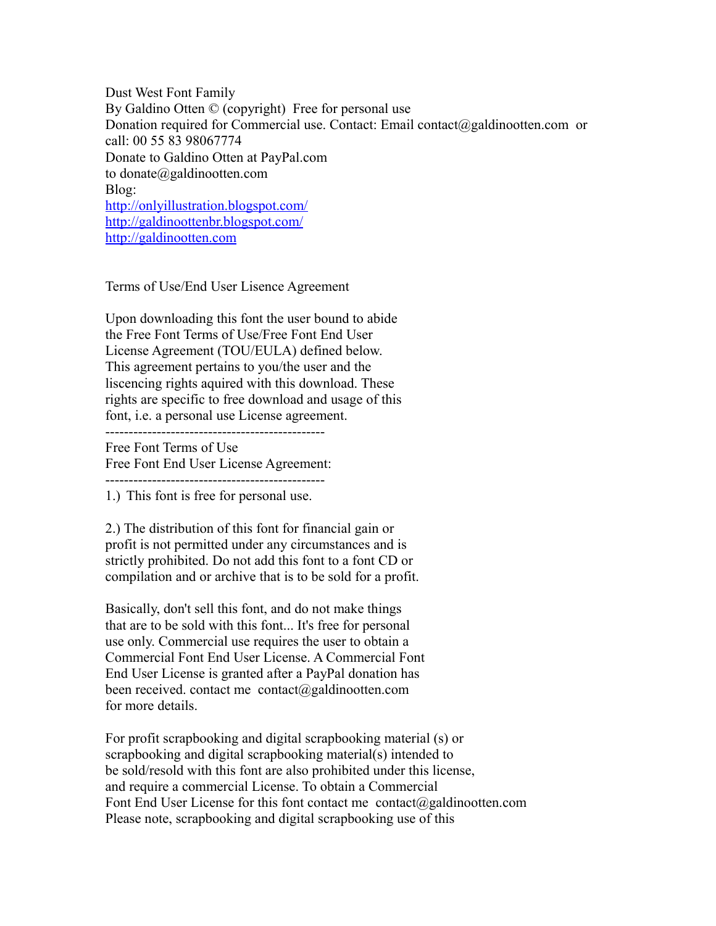Dust West Font Family By Galdino Otten © (copyright) Free for personal use Donation required for Commercial use. Contact: Email contact@galdinootten.com or call: 00 55 83 98067774 Donate to Galdino Otten at PayPal.com to donate@galdinootten.com Blog: <http://onlyillustration.blogspot.com/> <http://galdinoottenbr.blogspot.com/> [http://galdinootten.com](http://galdinootten.com/)

Terms of Use/End User Lisence Agreement

Upon downloading this font the user bound to abide the Free Font Terms of Use/Free Font End User License Agreement (TOU/EULA) defined below. This agreement pertains to you/the user and the liscencing rights aquired with this download. These rights are specific to free download and usage of this font, i.e. a personal use License agreement.

-----------------------------------------------

Free Font Terms of Use Free Font End User License Agreement: -----------------------------------------------

1.) This font is free for personal use.

2.) The distribution of this font for financial gain or profit is not permitted under any circumstances and is strictly prohibited. Do not add this font to a font CD or compilation and or archive that is to be sold for a profit.

Basically, don't sell this font, and do not make things that are to be sold with this font... It's free for personal use only. Commercial use requires the user to obtain a Commercial Font End User License. A Commercial Font End User License is granted after a PayPal donation has been received. contact me contact@galdinootten.com for more details.

For profit scrapbooking and digital scrapbooking material (s) or scrapbooking and digital scrapbooking material(s) intended to be sold/resold with this font are also prohibited under this license, and require a commercial License. To obtain a Commercial Font End User License for this font contact me contact@galdinootten.com Please note, scrapbooking and digital scrapbooking use of this